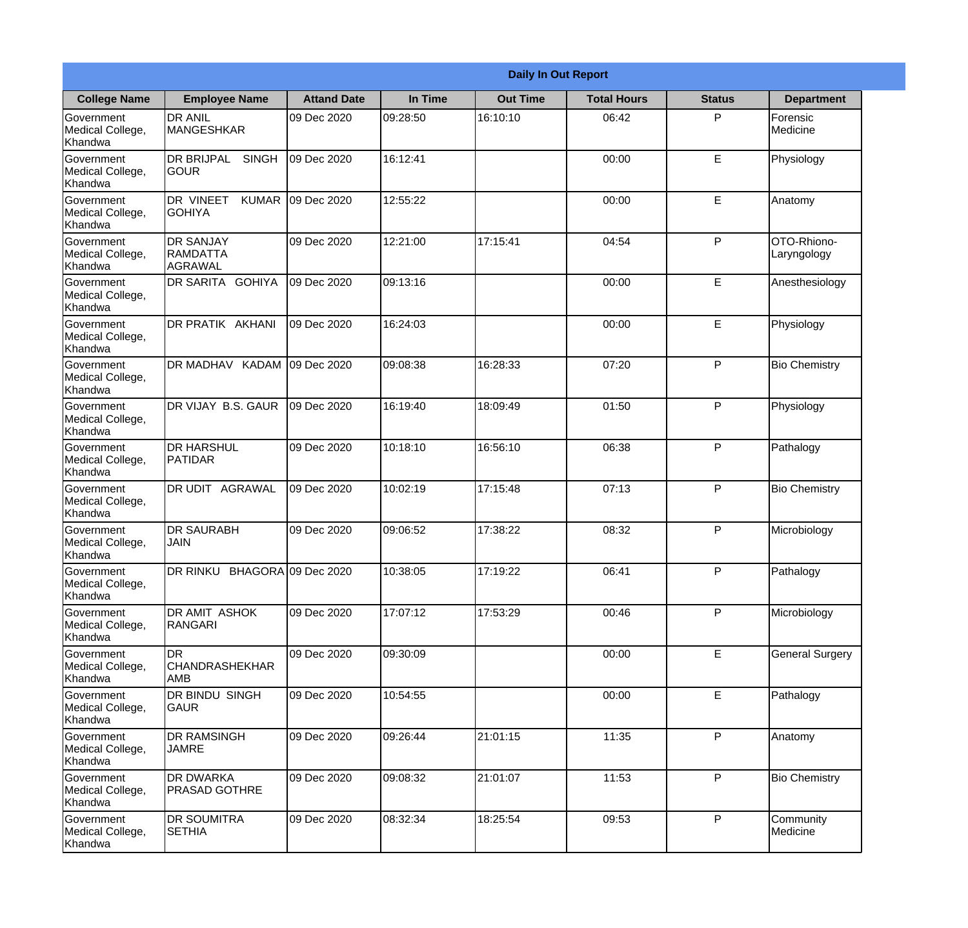|                                                  |                                                       |                    |          | <b>Daily In Out Report</b> |                    |               |                            |
|--------------------------------------------------|-------------------------------------------------------|--------------------|----------|----------------------------|--------------------|---------------|----------------------------|
| <b>College Name</b>                              | <b>Employee Name</b>                                  | <b>Attand Date</b> | In Time  | <b>Out Time</b>            | <b>Total Hours</b> | <b>Status</b> | <b>Department</b>          |
| Government<br>Medical College,<br>Khandwa        | <b>DR ANIL</b><br><b>MANGESHKAR</b>                   | 09 Dec 2020        | 09:28:50 | 16:10:10                   | 06:42              | P             | Forensic<br>Medicine       |
| Government<br>Medical College,<br>Khandwa        | <b>DR BRIJPAL</b><br><b>SINGH</b><br> GOUR            | 09 Dec 2020        | 16:12:41 |                            | 00:00              | E             | Physiology                 |
| <b>Government</b><br>Medical College,<br>Khandwa | <b>DR VINEET</b><br><b>KUMAR</b><br><b>I</b> GOHIYA   | 09 Dec 2020        | 12:55:22 |                            | 00:00              | E             | Anatomy                    |
| Government<br>Medical College,<br>Khandwa        | <b>DR SANJAY</b><br><b>RAMDATTA</b><br><b>AGRAWAL</b> | 09 Dec 2020        | 12:21:00 | 17:15:41                   | 04:54              | P             | OTO-Rhiono-<br>Laryngology |
| Government<br>Medical College,<br>Khandwa        | <b>DR SARITA GOHIYA</b>                               | 09 Dec 2020        | 09:13:16 |                            | 00:00              | E             | Anesthesiology             |
| Government<br>Medical College,<br>Khandwa        | DR PRATIK AKHANI                                      | 09 Dec 2020        | 16:24:03 |                            | 00:00              | E             | Physiology                 |
| <b>Government</b><br>Medical College,<br>Khandwa | DR MADHAV KADAM                                       | 09 Dec 2020        | 09:08:38 | 16:28:33                   | 07:20              | P             | <b>Bio Chemistry</b>       |
| Government<br>Medical College,<br>Khandwa        | DR VIJAY B.S. GAUR                                    | 09 Dec 2020        | 16:19:40 | 18:09:49                   | 01:50              | P             | Physiology                 |
| Government<br>Medical College,<br>Khandwa        | <b>DR HARSHUL</b><br>PATIDAR                          | 09 Dec 2020        | 10:18:10 | 16:56:10                   | 06:38              | P             | Pathalogy                  |
| Government<br>Medical College,<br>Khandwa        | DR UDIT<br><b>AGRAWAL</b>                             | 09 Dec 2020        | 10:02:19 | 17:15:48                   | 07:13              | P             | <b>Bio Chemistry</b>       |
| Government<br>Medical College,<br>Khandwa        | IDR SAURABH<br><b>JAIN</b>                            | 09 Dec 2020        | 09:06:52 | 17:38:22                   | 08:32              | $\mathsf{P}$  | Microbiology               |
| Government<br>Medical College,<br>Khandwa        | DR RINKU BHAGORA 09 Dec 2020                          |                    | 10:38:05 | 17:19:22                   | 06:41              | P             | Pathalogy                  |
| Government<br>Medical College,<br>Khandwa        | DR AMIT ASHOK<br>RANGARI                              | 09 Dec 2020        | 17:07:12 | 17:53:29                   | 00:46              | P             | Microbiology               |
| Government<br>Medical College,<br>Khandwa        | <b>DR</b><br><b>CHANDRASHEKHAR</b><br><b>AMB</b>      | 09 Dec 2020        | 09:30:09 |                            | 00:00              | E             | <b>General Surgery</b>     |
| Government<br>Medical College,<br>Khandwa        | <b>DR BINDU SINGH</b><br> GAUR                        | 09 Dec 2020        | 10:54:55 |                            | 00:00              | E             | Pathalogy                  |
| Government<br>Medical College,<br>Khandwa        | <b>DR RAMSINGH</b><br><b>JAMRE</b>                    | 09 Dec 2020        | 09:26:44 | 21:01:15                   | 11:35              | P             | Anatomy                    |
| Government<br>Medical College,<br>Khandwa        | <b>DR DWARKA</b><br><b>PRASAD GOTHRE</b>              | 09 Dec 2020        | 09:08:32 | 21:01:07                   | 11:53              | P             | <b>Bio Chemistry</b>       |
| Government<br>Medical College,<br>Khandwa        | <b>DR SOUMITRA</b><br><b>SETHIA</b>                   | 09 Dec 2020        | 08:32:34 | 18:25:54                   | 09:53              | P             | Community<br>Medicine      |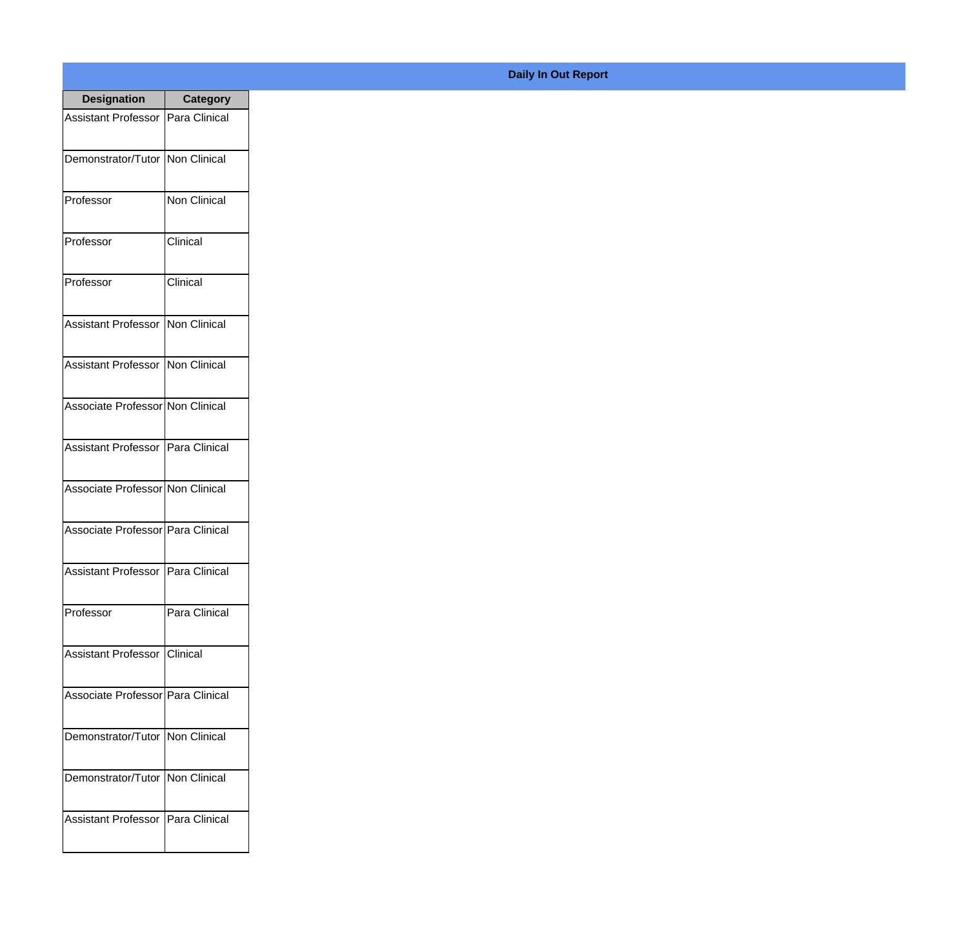| <b>Designation</b>                  | <b>Category</b>      |
|-------------------------------------|----------------------|
| Assistant Professor                 | Para Clinical        |
| Demonstrator/Tutor   Non Clinical   |                      |
| Professor                           | <b>Non Clinical</b>  |
| Professor                           | Clinical             |
| Professor                           | Clinical             |
| Assistant Professor                 | Non Clinical         |
| <b>Assistant Professor</b>          | <b>INon Clinical</b> |
| Associate Professor Non Clinical    |                      |
| Assistant Professor   Para Clinical |                      |
| Associate Professor Non Clinical    |                      |
| Associate Professor   Para Clinical |                      |
| Assistant Professor   Para Clinical |                      |
| Professor                           | Para Clinical        |
| Assistant Professor   Clinical      |                      |
| Associate Professor   Para Clinical |                      |
| Demonstrator/Tutor   Non Clinical   |                      |
| Demonstrator/Tutor   Non Clinical   |                      |
| Assistant Professor   Para Clinical |                      |

## **Daily In Out Report**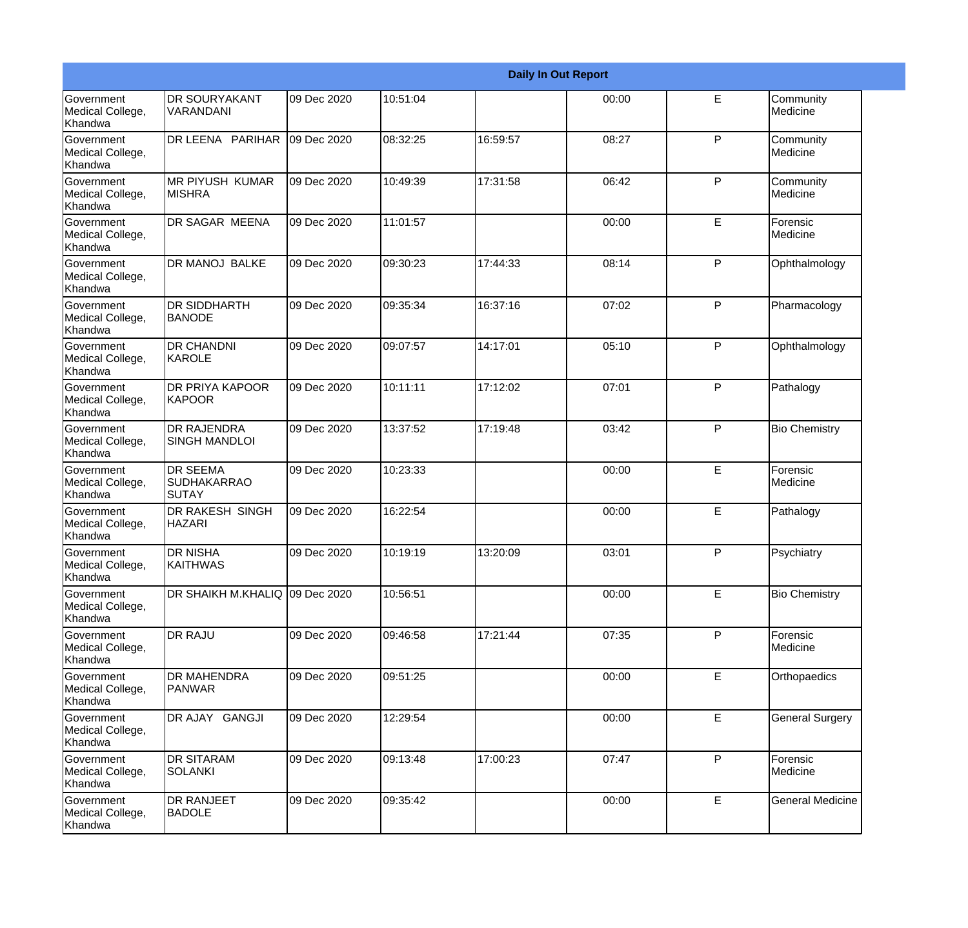|                                                         |                                                |             |          |          | <b>Daily In Out Report</b> |              |                         |
|---------------------------------------------------------|------------------------------------------------|-------------|----------|----------|----------------------------|--------------|-------------------------|
| Government<br>Medical College,<br>Khandwa               | <b>DR SOURYAKANT</b><br><b>VARANDANI</b>       | 09 Dec 2020 | 10:51:04 |          | 00:00                      | E            | Community<br>Medicine   |
| <b>Government</b><br>Medical College,<br>Khandwa        | DR LEENA PARIHAR                               | 09 Dec 2020 | 08:32:25 | 16:59:57 | 08:27                      | $\mathsf{P}$ | Community<br>Medicine   |
| <b>Government</b><br>Medical College,<br>Khandwa        | <b>MR PIYUSH KUMAR</b><br><b>MISHRA</b>        | 09 Dec 2020 | 10:49:39 | 17:31:58 | 06:42                      | P            | Community<br>Medicine   |
| <b>Government</b><br>Medical College,<br>Khandwa        | DR SAGAR MEENA                                 | 09 Dec 2020 | 11:01:57 |          | 00:00                      | E            | Forensic<br>Medicine    |
| Government<br>Medical College,<br>Khandwa               | DR MANOJ BALKE                                 | 09 Dec 2020 | 09:30:23 | 17:44:33 | 08:14                      | P            | Ophthalmology           |
| <b>Government</b><br>Medical College,<br><b>Khandwa</b> | <b>DR SIDDHARTH</b><br>BANODE                  | 09 Dec 2020 | 09:35:34 | 16:37:16 | 07:02                      | $\mathsf{P}$ | Pharmacology            |
| Government<br>Medical College,<br>Khandwa               | <b>DR CHANDNI</b><br>KAROLE                    | 09 Dec 2020 | 09:07:57 | 14:17:01 | 05:10                      | P            | Ophthalmology           |
| Government<br>Medical College,<br>Khandwa               | <b>DR PRIYA KAPOOR</b><br>KAPOOR               | 09 Dec 2020 | 10:11:11 | 17:12:02 | 07:01                      | P            | Pathalogy               |
| Government<br>Medical College,<br>Khandwa               | <b>DR RAJENDRA</b><br><b>SINGH MANDLOI</b>     | 09 Dec 2020 | 13:37:52 | 17:19:48 | 03:42                      | $\mathsf{P}$ | <b>Bio Chemistry</b>    |
| <b>Government</b><br>Medical College,<br>Khandwa        | <b>DR SEEMA</b><br><b>SUDHAKARRAO</b><br>SUTAY | 09 Dec 2020 | 10:23:33 |          | 00:00                      | E            | Forensic<br>Medicine    |
| <b>Government</b><br>Medical College,<br>Khandwa        | <b>DR RAKESH SINGH</b><br><b>HAZARI</b>        | 09 Dec 2020 | 16:22:54 |          | 00:00                      | E            | Pathalogy               |
| Government<br>Medical College,<br>Khandwa               | <b>DR NISHA</b><br><b>KAITHWAS</b>             | 09 Dec 2020 | 10:19:19 | 13:20:09 | 03:01                      | P            | Psychiatry              |
| Government<br>Medical College,<br>Khandwa               | DR SHAIKH M.KHALIQ 09 Dec 2020                 |             | 10:56:51 |          | 00:00                      | E            | <b>Bio Chemistry</b>    |
| Government<br>Medical College,<br>Khandwa               | <b>DR RAJU</b>                                 | 09 Dec 2020 | 09:46:58 | 17:21:44 | 07:35                      | $\mathsf{P}$ | Forensic<br>Medicine    |
| Government<br>Medical College,<br>Khandwa               | <b>DR MAHENDRA</b><br><b>PANWAR</b>            | 09 Dec 2020 | 09:51:25 |          | 00:00                      | E            | Orthopaedics            |
| Government<br>Medical College,<br>Khandwa               | DR AJAY GANGJI                                 | 09 Dec 2020 | 12:29:54 |          | 00:00                      | E.           | <b>General Surgery</b>  |
| Government<br>Medical College,<br>Khandwa               | <b>DR SITARAM</b><br><b>SOLANKI</b>            | 09 Dec 2020 | 09:13:48 | 17:00:23 | 07:47                      | P            | Forensic<br>Medicine    |
| Government<br>Medical College,<br>Khandwa               | <b>DR RANJEET</b><br><b>BADOLE</b>             | 09 Dec 2020 | 09:35:42 |          | 00:00                      | E            | <b>General Medicine</b> |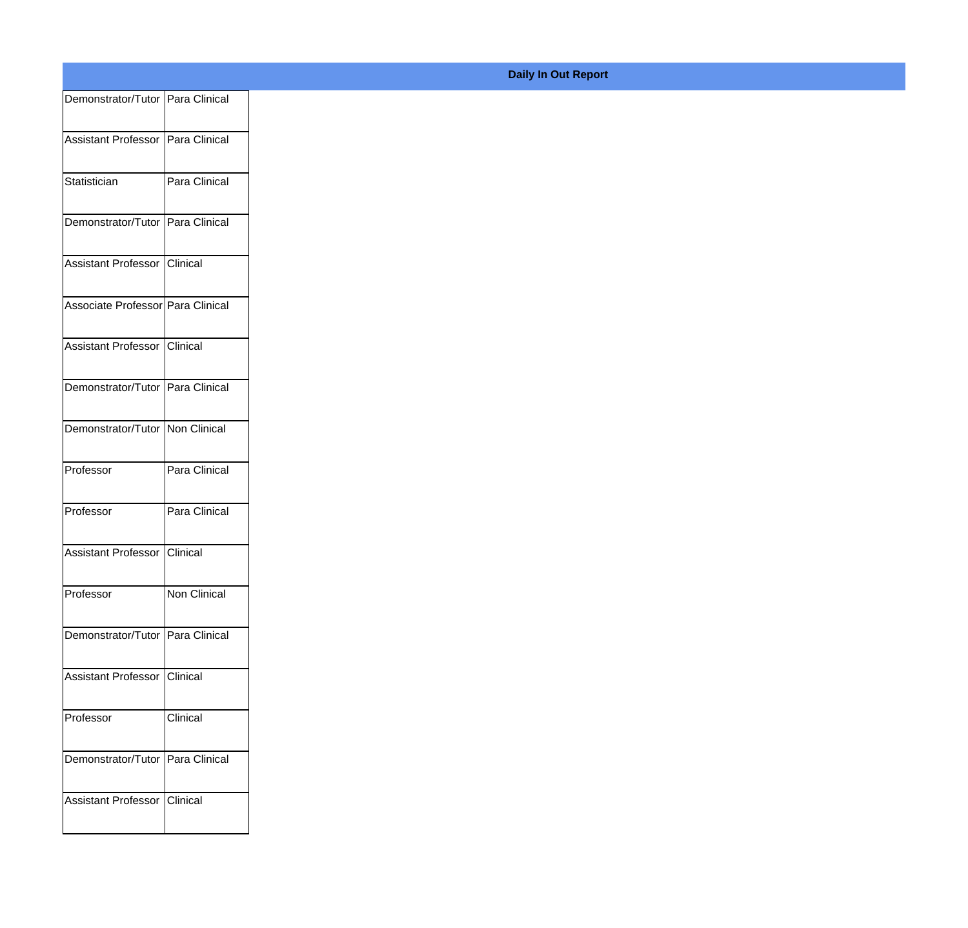| Demonstrator/Tutor Para Clinical  |               |
|-----------------------------------|---------------|
| Assistant Professor Para Clinical |               |
|                                   |               |
| Statistician                      | Para Clinical |
| Demonstrator/Tutor Para Clinical  |               |
|                                   |               |
| Assistant Professor Clinical      |               |
| Associate Professor Para Clinical |               |
|                                   |               |
| Assistant Professor Clinical      |               |
| Demonstrator/Tutor Para Clinical  |               |
| Demonstrator/Tutor Non Clinical   |               |
|                                   |               |
| Professor                         | Para Clinical |
| Professor                         | Para Clinical |
|                                   |               |
| Assistant Professor Clinical      |               |
| Professor                         | Non Clinical  |
|                                   |               |
| Demonstrator/Tutor Para Clinical  |               |
| Assistant Professor Clinical      |               |
| Professor                         | Clinical      |
|                                   |               |
| Demonstrator/Tutor Para Clinical  |               |
| Assistant Professor Clinical      |               |
|                                   |               |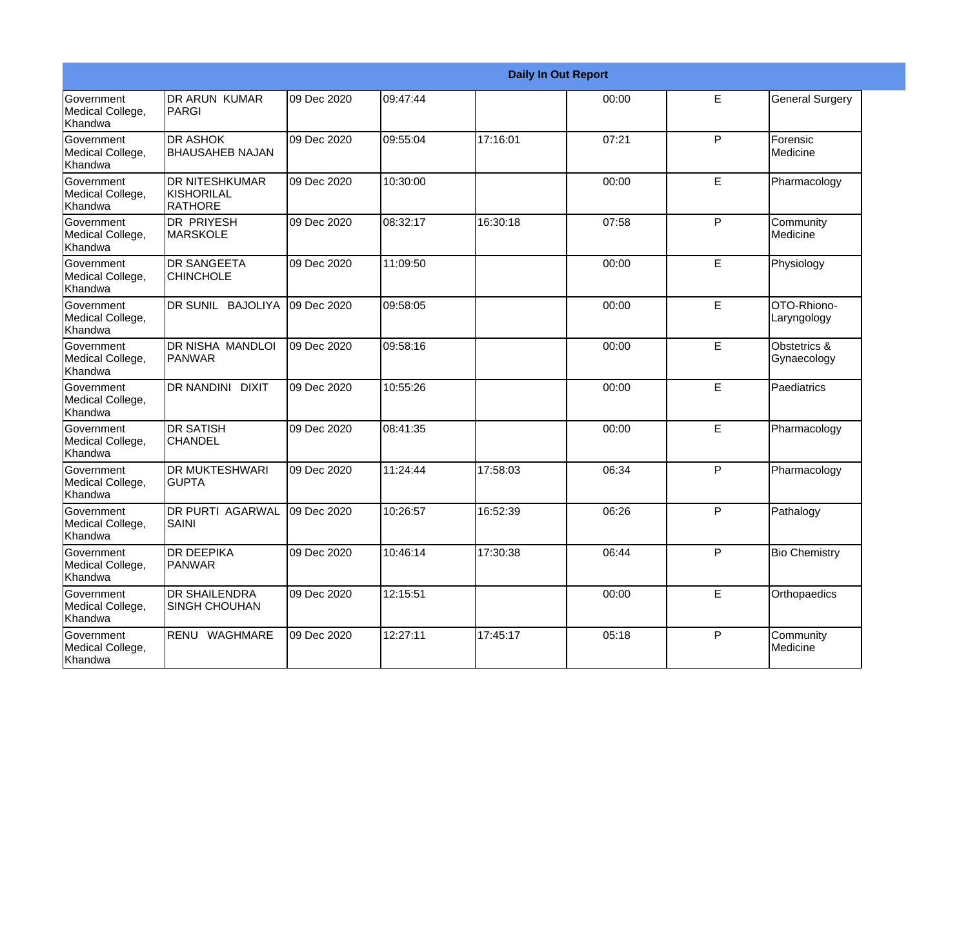|                                                  |                                                |             |          |          | <b>Daily In Out Report</b> |              |                             |
|--------------------------------------------------|------------------------------------------------|-------------|----------|----------|----------------------------|--------------|-----------------------------|
| Government<br>Medical College,<br>Khandwa        | IDR ARUN KUMAR<br>PARGI                        | 09 Dec 2020 | 09:47:44 |          | 00:00                      | E            | <b>General Surgery</b>      |
| Government<br>Medical College,<br>Khandwa        | <b>DR ASHOK</b><br><b>BHAUSAHEB NAJAN</b>      | 09 Dec 2020 | 09:55:04 | 17:16:01 | 07:21                      | P            | Forensic<br>Medicine        |
| <b>Government</b><br>Medical College,<br>Khandwa | <b>DR NITESHKUMAR</b><br>KISHORILAL<br>RATHORE | 09 Dec 2020 | 10:30:00 |          | 00:00                      | E            | Pharmacology                |
| Government<br>Medical College,<br>Khandwa        | DR PRIYESH<br><b>MARSKOLE</b>                  | 09 Dec 2020 | 08:32:17 | 16:30:18 | 07:58                      | $\mathsf{P}$ | Community<br>Medicine       |
| Government<br>Medical College,<br>Khandwa        | <b>DR SANGEETA</b><br><b>CHINCHOLE</b>         | 09 Dec 2020 | 11:09:50 |          | 00:00                      | E            | Physiology                  |
| Government<br>Medical College,<br>Khandwa        | <b>IDR SUNIL BAJOLIYA</b>                      | 09 Dec 2020 | 09:58:05 |          | 00:00                      | E            | OTO-Rhiono-<br>Laryngology  |
| Government<br>Medical College,<br>Khandwa        | <b>IDR NISHA MANDLOI</b><br><b>PANWAR</b>      | 09 Dec 2020 | 09:58:16 |          | 00:00                      | E            | Obstetrics &<br>Gynaecology |
| Government<br>Medical College,<br>Khandwa        | DR NANDINI DIXIT                               | 09 Dec 2020 | 10:55:26 |          | 00:00                      | E            | Paediatrics                 |
| Government<br>Medical College,<br>Khandwa        | <b>DR SATISH</b><br><b>CHANDEL</b>             | 09 Dec 2020 | 08:41:35 |          | 00:00                      | E            | Pharmacology                |
| Government<br>Medical College,<br>Khandwa        | <b>DR MUKTESHWARI</b><br><b>GUPTA</b>          | 09 Dec 2020 | 11:24:44 | 17:58:03 | 06:34                      | P            | Pharmacology                |
| Government<br>Medical College,<br>Khandwa        | <b>DR PURTI AGARWAL</b><br>SAINI               | 09 Dec 2020 | 10:26:57 | 16:52:39 | 06:26                      | P            | Pathalogy                   |
| Government<br>Medical College,<br>Khandwa        | <b>DR DEEPIKA</b><br><b>PANWAR</b>             | 09 Dec 2020 | 10:46:14 | 17:30:38 | 06:44                      | P            | <b>Bio Chemistry</b>        |
| Government<br>Medical College,<br>Khandwa        | <b>DR SHAILENDRA</b><br>SINGH CHOUHAN          | 09 Dec 2020 | 12:15:51 |          | 00:00                      | E            | Orthopaedics                |
| Government<br>Medical College,<br>Khandwa        | RENU WAGHMARE                                  | 09 Dec 2020 | 12:27:11 | 17:45:17 | 05:18                      | P            | Community<br>Medicine       |